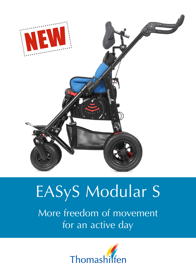

# EASyS Modular S

More freedom of movement for an active day

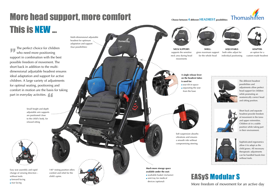# More head support, more comfort This is NEW ...

The perfect choice for children who need more positioning support in combination with the best possible freedom of movement. The short back in addition to the multidimensional adjustable headrest ensures ideal adaptation and support for active children. A large variety of adjustments for optimal seating, positioning and comfort in motion are the basis for taking part in everyday activities.





## More freedom of movement for an active day

Small height and depth adjustable arm supports are positioned close to the child's body, for relaxed sitting



140° resting position offers comfort and relief for the child's spine.



Easy seat assembly and rapid change of viewing direction – without tools:

- **•** forward facing
- rear facing

**Much more storage space available under the seat:** washable basket (inclusive) vent tray for medical devices (optional)

Soft suspension absorbs vibrations and ensures a smooth ride without compromising steering



 seat tilt-in-space separating the seat from the base



Multi-dimensional adjustable headrest for optimum adaptation and support

(four possibilities) **NECK SUPPORT:** supports the sensitive neck area during head movements



**SHELL:** gives maximum support for the whole head



**ADJUSTABLE:** both sides adjust for individual positioning





**ADAPTER:** an option for a custom-made headrest

**Choose between 4 different HEADREST possibilities:**